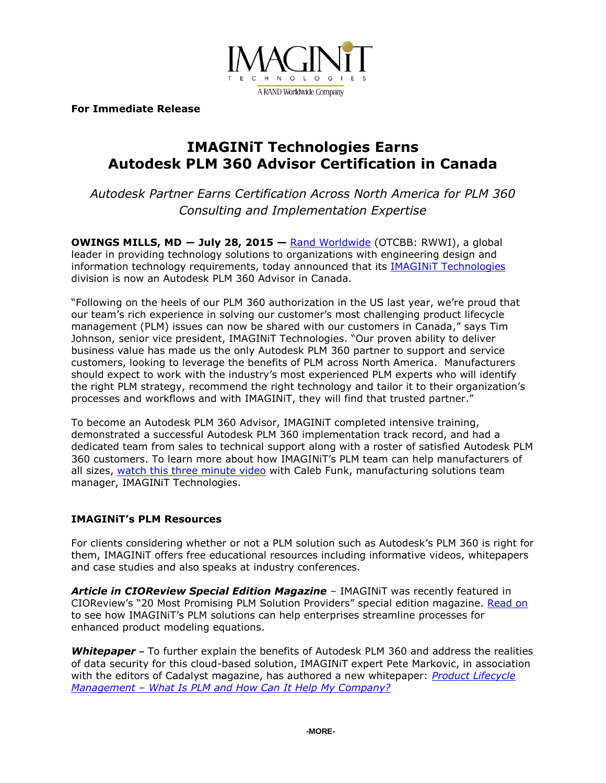

**For Immediate Release**

# **IMAGINiT Technologies Earns Autodesk PLM 360 Advisor Certification in Canada**

*Autodesk Partner Earns Certification Across North America for PLM 360 Consulting and Implementation Expertise*

**OWINGS MILLS, MD ― July 28, 2015 —** [Rand Worldwide](http://www.rand.com/) (OTCBB: RWWI), a global leader in providing technology solutions to organizations with engineering design and information technology requirements, today announced that its [IMAGINiT Technologies](http://www.imaginit.com/) division is now an Autodesk PLM 360 Advisor in Canada.

"Following on the heels of our PLM 360 authorization in the US last year, we're proud that our team's rich experience in solving our customer's most challenging product lifecycle management (PLM) issues can now be shared with our customers in Canada," says Tim Johnson, senior vice president, IMAGINiT Technologies. "Our proven ability to deliver business value has made us the only Autodesk PLM 360 partner to support and service customers, looking to leverage the benefits of PLM across North America. Manufacturers should expect to work with the industry's most experienced PLM experts who will identify the right PLM strategy, recommend the right technology and tailor it to their organization's processes and workflows and with IMAGINiT, they will find that trusted partner."

To become an Autodesk PLM 360 Advisor, IMAGINiT completed intensive training, demonstrated a successful Autodesk PLM 360 implementation track record, and had a dedicated team from sales to technical support along with a roster of satisfied Autodesk PLM 360 customers. To learn more about how IMAGINiT's PLM team can help manufacturers of all sizes, [watch this three minute video](https://www.youtube.com/watch?v=3rc7eTAf3KE) with Caleb Funk, manufacturing solutions team manager, IMAGINiT Technologies.

## **IMAGINiT's PLM Resources**

For clients considering whether or not a PLM solution such as Autodesk's PLM 360 is right for them, IMAGINiT offers free educational resources including informative videos, whitepapers and case studies and also speaks at industry conferences.

*Article in CIOReview Special Edition Magazine* – IMAGINiT was recently featured in CIOReview's "20 Most Promising PLM Solution Providers" special edition magazine. [Read on](http://plm.cioreview.com/vendor/2015/imaginit_technologies) to see how IMAGINiT's PLM solutions can help enterprises streamline processes for enhanced product modeling equations.

**Whitepaper** – To further explain the benefits of Autodesk PLM 360 and address the realities of data security for this cloud-based solution, IMAGINiT expert Pete Markovic, in association with the editors of Cadalyst magazine, has authored a new whitepaper: *[Product Lifecycle](http://www.imaginit.com/portals/4/documents/What%20is%20PLM360%20Whitepaper_0828.pdf)  Management – [What Is PLM and How Can It Help My Company?](http://www.imaginit.com/portals/4/documents/What%20is%20PLM360%20Whitepaper_0828.pdf)*